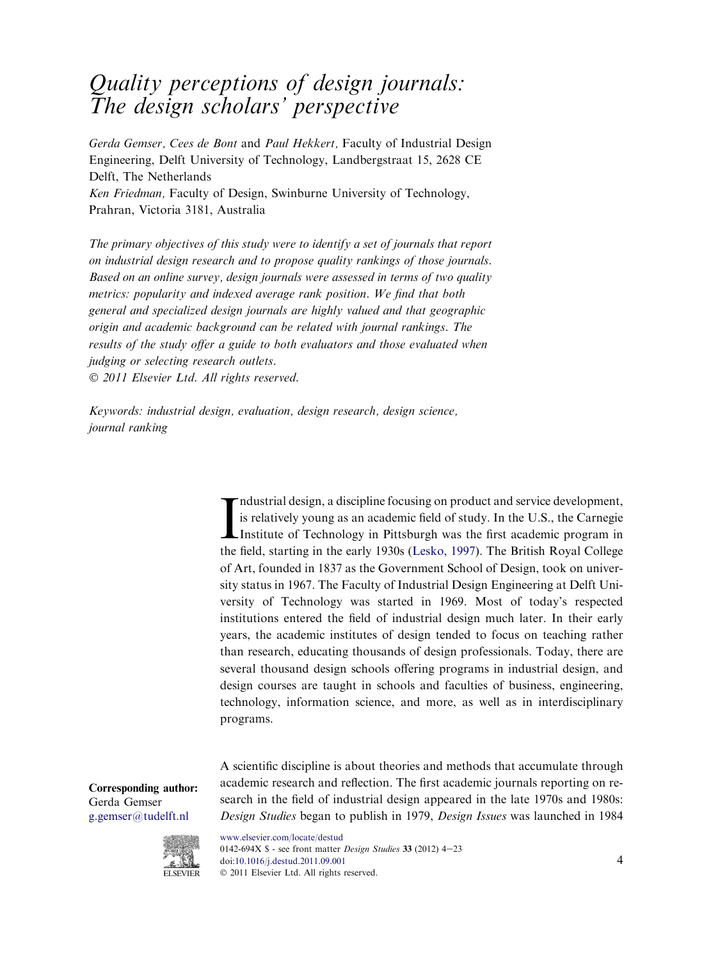# Quality perceptions of design journals: The design scholars' perspective

Gerda Gemser, Cees de Bont and Paul Hekkert, Faculty of Industrial Design Engineering, Delft University of Technology, Landbergstraat 15, 2628 CE Delft, The Netherlands Ken Friedman, Faculty of Design, Swinburne University of Technology,

Prahran, Victoria 3181, Australia

The primary objectives of this study were to identify a set of journals that report on industrial design research and to propose quality rankings of those journals. Based on an online survey, design journals were assessed in terms of two quality metrics: popularity and indexed average rank position. We find that both general and specialized design journals are highly valued and that geographic origin and academic background can be related with journal rankings. The results of the study offer a guide to both evaluators and those evaluated when judging or selecting research outlets. 2011 Elsevier Ltd. All rights reserved.

Keywords: industrial design, evaluation, design research, design science, journal ranking

> Industrial design, a discipline focusing on product and service development, is relatively young as an academic field of study. In the U.S., the Carnegie Institute of Technology in Pittsburgh was the first academic program ndustrial design, a discipline focusing on product and service development, is relatively young as an academic field of study. In the U.S., the Carnegie the field, starting in the early 1930s ([Lesko, 1997\)](#page-19-0). The British Royal College of Art, founded in 1837 as the Government School of Design, took on university status in 1967. The Faculty of Industrial Design Engineering at Delft University of Technology was started in 1969. Most of today's respected institutions entered the field of industrial design much later. In their early years, the academic institutes of design tended to focus on teaching rather than research, educating thousands of design professionals. Today, there are several thousand design schools offering programs in industrial design, and design courses are taught in schools and faculties of business, engineering, technology, information science, and more, as well as in interdisciplinary programs.

> A scientific discipline is about theories and methods that accumulate through academic research and reflection. The first academic journals reporting on research in the field of industrial design appeared in the late 1970s and 1980s: Design Studies began to publish in 1979, Design Issues was launched in 1984

Corresponding author: Gerda Gemser [g.gemser@tudelft.nl](mailto:g.gemser@tudelft.nl)



[www.elsevier.com/locate/destud](http://www.elsevier.com/locate/destud) 0142-694X  $\text{\$}$  - see front matter *Design Studies* 33 (2012) 4-23 doi:[10.1016/j.destud.2011.09.001](http://dx.doi.org/10.1016/j.destud.2011.09.001) 4 2011 Elsevier Ltd. All rights reserved.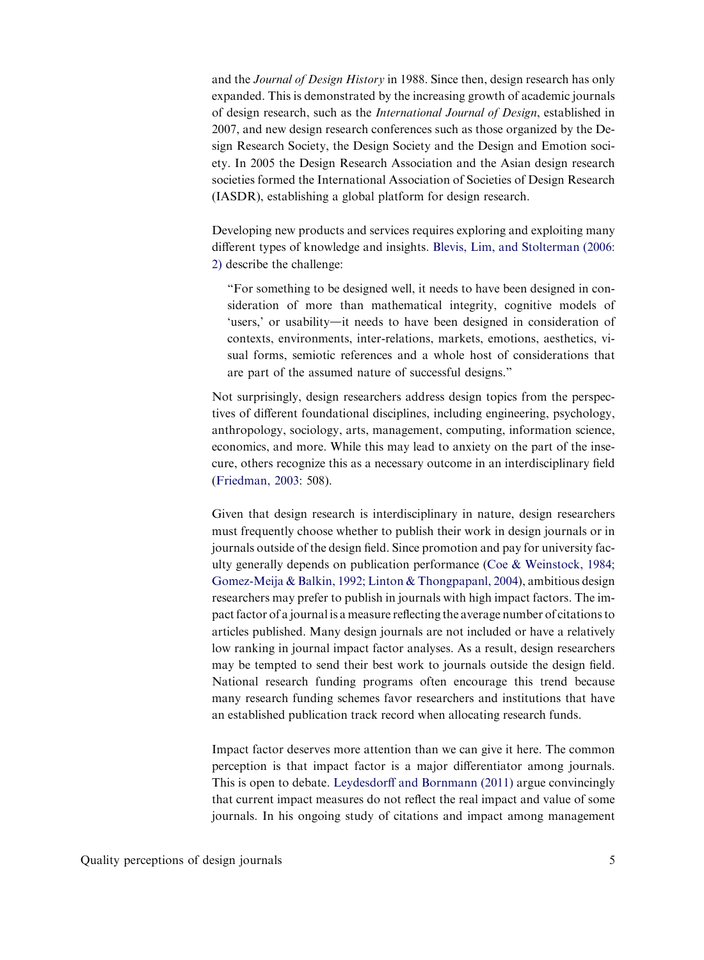and the Journal of Design History in 1988. Since then, design research has only expanded. This is demonstrated by the increasing growth of academic journals of design research, such as the International Journal of Design, established in 2007, and new design research conferences such as those organized by the Design Research Society, the Design Society and the Design and Emotion society. In 2005 the Design Research Association and the Asian design research societies formed the International Association of Societies of Design Research (IASDR), establishing a global platform for design research.

Developing new products and services requires exploring and exploiting many different types of knowledge and insights. [Blevis, Lim, and Stolterman \(2006:](#page-18-0) [2\)](#page-18-0) describe the challenge:

"For something to be designed well, it needs to have been designed in consideration of more than mathematical integrity, cognitive models of 'users,' or usability—it needs to have been designed in consideration of contexts, environments, inter-relations, markets, emotions, aesthetics, visual forms, semiotic references and a whole host of considerations that are part of the assumed nature of successful designs."

Not surprisingly, design researchers address design topics from the perspectives of different foundational disciplines, including engineering, psychology, anthropology, sociology, arts, management, computing, information science, economics, and more. While this may lead to anxiety on the part of the insecure, others recognize this as a necessary outcome in an interdisciplinary field [\(Friedman, 2003](#page-19-0): 508).

Given that design research is interdisciplinary in nature, design researchers must frequently choose whether to publish their work in design journals or in journals outside of the design field. Since promotion and pay for university faculty generally depends on publication performance ([Coe & Weinstock, 1984;](#page-18-0) [Gomez-Meija & Balkin, 1992; Linton & Thongpapanl, 2004\)](#page-18-0), ambitious design researchers may prefer to publish in journals with high impact factors. The impact factor of a journal is a measure reflecting the average number of citations to articles published. Many design journals are not included or have a relatively low ranking in journal impact factor analyses. As a result, design researchers may be tempted to send their best work to journals outside the design field. National research funding programs often encourage this trend because many research funding schemes favor researchers and institutions that have an established publication track record when allocating research funds.

Impact factor deserves more attention than we can give it here. The common perception is that impact factor is a major differentiator among journals. This is open to debate. [Leydesdorff and Bornmann \(2011\)](#page-19-0) argue convincingly that current impact measures do not reflect the real impact and value of some journals. In his ongoing study of citations and impact among management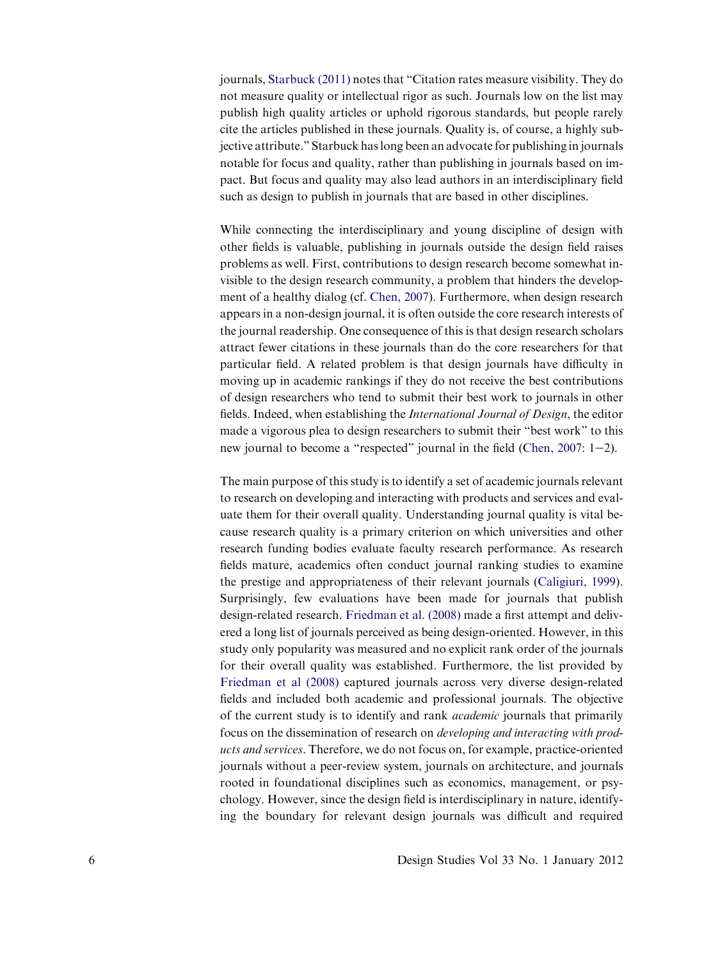journals, [Starbuck \(2011\)](#page-19-0) notes that "Citation rates measure visibility. They do not measure quality or intellectual rigor as such. Journals low on the list may publish high quality articles or uphold rigorous standards, but people rarely cite the articles published in these journals. Quality is, of course, a highly subjective attribute." Starbuck has long been an advocate for publishing in journals notable for focus and quality, rather than publishing in journals based on impact. But focus and quality may also lead authors in an interdisciplinary field such as design to publish in journals that are based in other disciplines.

While connecting the interdisciplinary and young discipline of design with other fields is valuable, publishing in journals outside the design field raises problems as well. First, contributions to design research become somewhat invisible to the design research community, a problem that hinders the development of a healthy dialog (cf. [Chen, 2007\)](#page-18-0). Furthermore, when design research appears in a non-design journal, it is often outside the core research interests of the journal readership. One consequence of this is that design research scholars attract fewer citations in these journals than do the core researchers for that particular field. A related problem is that design journals have difficulty in moving up in academic rankings if they do not receive the best contributions of design researchers who tend to submit their best work to journals in other fields. Indeed, when establishing the International Journal of Design, the editor made a vigorous plea to design researchers to submit their "best work" to this new journal to become a "respected" journal in the field (Chen,  $2007: 1-2$ ).

The main purpose of this study is to identify a set of academic journals relevant to research on developing and interacting with products and services and evaluate them for their overall quality. Understanding journal quality is vital because research quality is a primary criterion on which universities and other research funding bodies evaluate faculty research performance. As research fields mature, academics often conduct journal ranking studies to examine the prestige and appropriateness of their relevant journals [\(Caligiuri, 1999](#page-18-0)). Surprisingly, few evaluations have been made for journals that publish design-related research. [Friedman et al. \(2008\)](#page-19-0) made a first attempt and delivered a long list of journals perceived as being design-oriented. However, in this study only popularity was measured and no explicit rank order of the journals for their overall quality was established. Furthermore, the list provided by [Friedman et al \(2008\)](#page-19-0) captured journals across very diverse design-related fields and included both academic and professional journals. The objective of the current study is to identify and rank academic journals that primarily focus on the dissemination of research on developing and interacting with products and services. Therefore, we do not focus on, for example, practice-oriented journals without a peer-review system, journals on architecture, and journals rooted in foundational disciplines such as economics, management, or psychology. However, since the design field is interdisciplinary in nature, identifying the boundary for relevant design journals was difficult and required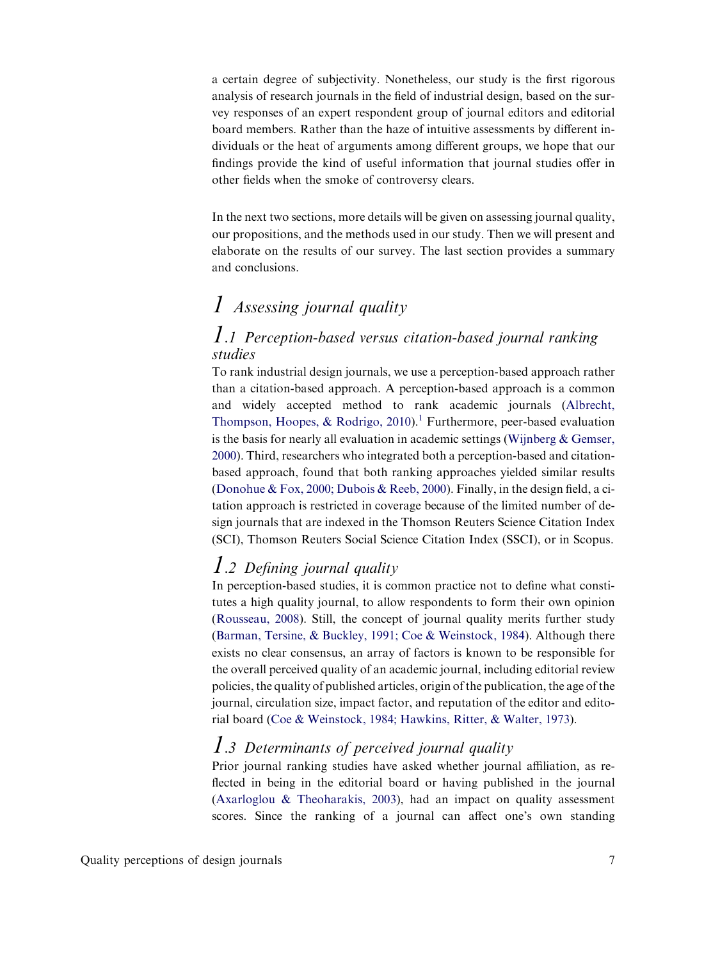a certain degree of subjectivity. Nonetheless, our study is the first rigorous analysis of research journals in the field of industrial design, based on the survey responses of an expert respondent group of journal editors and editorial board members. Rather than the haze of intuitive assessments by different individuals or the heat of arguments among different groups, we hope that our findings provide the kind of useful information that journal studies offer in other fields when the smoke of controversy clears.

In the next two sections, more details will be given on assessing journal quality, our propositions, and the methods used in our study. Then we will present and elaborate on the results of our survey. The last section provides a summary and conclusions.

# 1 Assessing journal quality

### 1.1 Perception-based versus citation-based journal ranking studies

To rank industrial design journals, we use a perception-based approach rather than a citation-based approach. A perception-based approach is a common and widely accepted method to rank academic journals ([Albrecht,](#page-18-0) [Thompson, Hoopes, & Rodrigo, 2010\)](#page-18-0).<sup>[1](#page-17-0)</sup> Furthermore, peer-based evaluation is the basis for nearly all evaluation in academic settings ([Wijnberg & Gemser,](#page-19-0) [2000\)](#page-19-0). Third, researchers who integrated both a perception-based and citationbased approach, found that both ranking approaches yielded similar results [\(Donohue & Fox, 2000; Dubois & Reeb, 2000](#page-18-0)). Finally, in the design field, a citation approach is restricted in coverage because of the limited number of design journals that are indexed in the Thomson Reuters Science Citation Index (SCI), Thomson Reuters Social Science Citation Index (SSCI), or in Scopus.

### 1.2 Defining journal quality

In perception-based studies, it is common practice not to define what constitutes a high quality journal, to allow respondents to form their own opinion [\(Rousseau, 2008\)](#page-19-0). Still, the concept of journal quality merits further study [\(Barman, Tersine, & Buckley, 1991; Coe & Weinstock, 1984](#page-18-0)). Although there exists no clear consensus, an array of factors is known to be responsible for the overall perceived quality of an academic journal, including editorial review policies, the quality of published articles, origin of the publication, the age of the journal, circulation size, impact factor, and reputation of the editor and editorial board ([Coe & Weinstock, 1984; Hawkins, Ritter, & Walter, 1973\)](#page-18-0).

# 1.3 Determinants of perceived journal quality

Prior journal ranking studies have asked whether journal affiliation, as reflected in being in the editorial board or having published in the journal [\(Axarloglou & Theoharakis, 2003\)](#page-18-0), had an impact on quality assessment scores. Since the ranking of a journal can affect one's own standing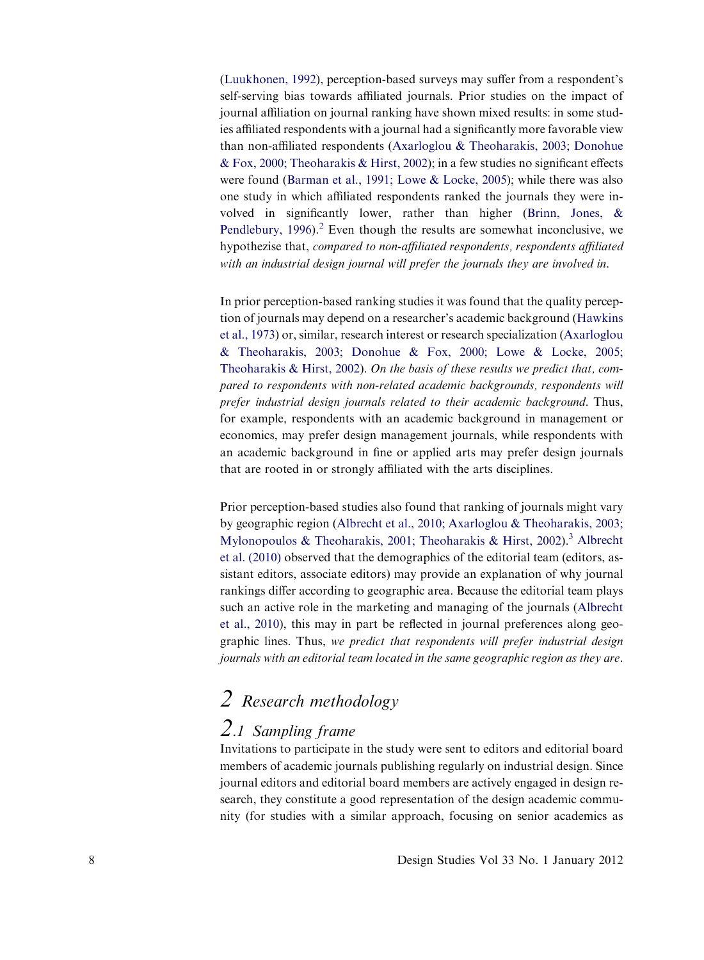[\(Luukhonen, 1992\)](#page-19-0), perception-based surveys may suffer from a respondent's self-serving bias towards affiliated journals. Prior studies on the impact of journal affiliation on journal ranking have shown mixed results: in some studies affiliated respondents with a journal had a significantly more favorable view than non-affiliated respondents ([Axarloglou & Theoharakis, 2003; Donohue](#page-18-0) [& Fox, 2000; Theoharakis & Hirst, 2002\)](#page-18-0); in a few studies no significant effects were found ([Barman et al., 1991; Lowe & Locke, 2005\)](#page-18-0); while there was also one study in which affiliated respondents ranked the journals they were involved in significantly lower, rather than higher ([Brinn, Jones, &](#page-18-0) Pendlebury,  $1996$ <sup>[2](#page-18-0)</sup>. Even though the results are somewhat inconclusive, we hypothezise that, compared to non-affiliated respondents, respondents affiliated with an industrial design journal will prefer the journals they are involved in.

In prior perception-based ranking studies it was found that the quality perception of journals may depend on a researcher's academic background [\(Hawkins](#page-19-0) [et al., 1973\)](#page-19-0) or, similar, research interest or research specialization [\(Axarloglou](#page-18-0) [& Theoharakis, 2003; Donohue & Fox, 2000; Lowe & Locke, 2005;](#page-18-0) [Theoharakis & Hirst, 2002](#page-18-0)). On the basis of these results we predict that, compared to respondents with non-related academic backgrounds, respondents will prefer industrial design journals related to their academic background. Thus, for example, respondents with an academic background in management or economics, may prefer design management journals, while respondents with an academic background in fine or applied arts may prefer design journals that are rooted in or strongly affiliated with the arts disciplines.

Prior perception-based studies also found that ranking of journals might vary by geographic region ([Albrecht et al., 2010; Axarloglou & Theoharakis, 2003;](#page-18-0) [Mylonopoulos & Theoharakis, 2001; Theoharakis & Hirst, 2002](#page-18-0)).<sup>3</sup> [Albrecht](#page-18-0) [et al. \(2010\)](#page-18-0) observed that the demographics of the editorial team (editors, assistant editors, associate editors) may provide an explanation of why journal rankings differ according to geographic area. Because the editorial team plays such an active role in the marketing and managing of the journals ([Albrecht](#page-18-0) [et al., 2010](#page-18-0)), this may in part be reflected in journal preferences along geographic lines. Thus, we predict that respondents will prefer industrial design journals with an editorial team located in the same geographic region as they are.

# 2 Research methodology

## 2.1 Sampling frame

Invitations to participate in the study were sent to editors and editorial board members of academic journals publishing regularly on industrial design. Since journal editors and editorial board members are actively engaged in design research, they constitute a good representation of the design academic community (for studies with a similar approach, focusing on senior academics as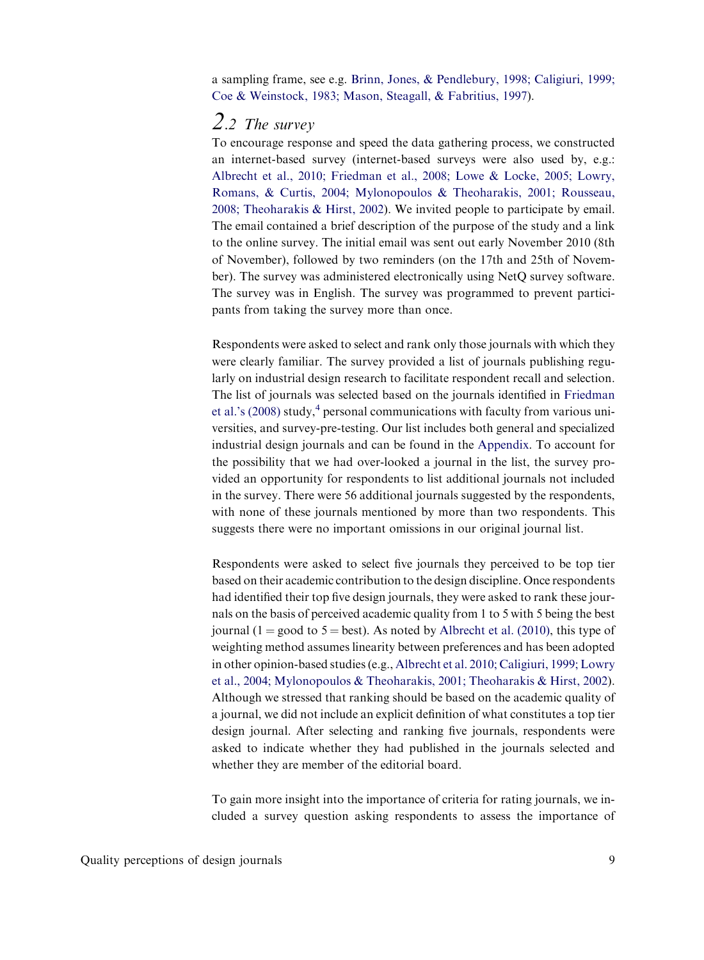a sampling frame, see e.g. [Brinn, Jones, & Pendlebury, 1998; Caligiuri, 1999;](#page-18-0) [Coe & Weinstock, 1983; Mason, Steagall, & Fabritius, 1997\)](#page-18-0).

### 2.2 The survey

To encourage response and speed the data gathering process, we constructed an internet-based survey (internet-based surveys were also used by, e.g.: [Albrecht et al., 2010; Friedman et al., 2008; Lowe & Locke, 2005; Lowry,](#page-18-0) [Romans, & Curtis, 2004; Mylonopoulos & Theoharakis, 2001; Rousseau,](#page-18-0) [2008; Theoharakis & Hirst, 2002\)](#page-18-0). We invited people to participate by email. The email contained a brief description of the purpose of the study and a link to the online survey. The initial email was sent out early November 2010 (8th of November), followed by two reminders (on the 17th and 25th of November). The survey was administered electronically using NetQ survey software. The survey was in English. The survey was programmed to prevent participants from taking the survey more than once.

Respondents were asked to select and rank only those journals with which they were clearly familiar. The survey provided a list of journals publishing regularly on industrial design research to facilitate respondent recall and selection. The list of journals was selected based on the journals identified in [Friedman](#page-19-0) [et al.'s \(2008\)](#page-19-0) study, $4$  personal communications with faculty from various universities, and survey-pre-testing. Our list includes both general and specialized industrial design journals and can be found in the Appendix. To account for the possibility that we had over-looked a journal in the list, the survey provided an opportunity for respondents to list additional journals not included in the survey. There were 56 additional journals suggested by the respondents, with none of these journals mentioned by more than two respondents. This suggests there were no important omissions in our original journal list.

Respondents were asked to select five journals they perceived to be top tier based on their academic contribution to the design discipline. Once respondents had identified their top five design journals, they were asked to rank these journals on the basis of perceived academic quality from 1 to 5 with 5 being the best journal (1 = good to 5 = best). As noted by [Albrecht et al. \(2010\)](#page-18-0), this type of weighting method assumes linearity between preferences and has been adopted in other opinion-based studies (e.g., [Albrecht et al. 2010; Caligiuri, 1999; Lowry](#page-18-0) [et al., 2004; Mylonopoulos & Theoharakis, 2001; Theoharakis & Hirst, 2002](#page-18-0)). Although we stressed that ranking should be based on the academic quality of a journal, we did not include an explicit definition of what constitutes a top tier design journal. After selecting and ranking five journals, respondents were asked to indicate whether they had published in the journals selected and whether they are member of the editorial board.

To gain more insight into the importance of criteria for rating journals, we included a survey question asking respondents to assess the importance of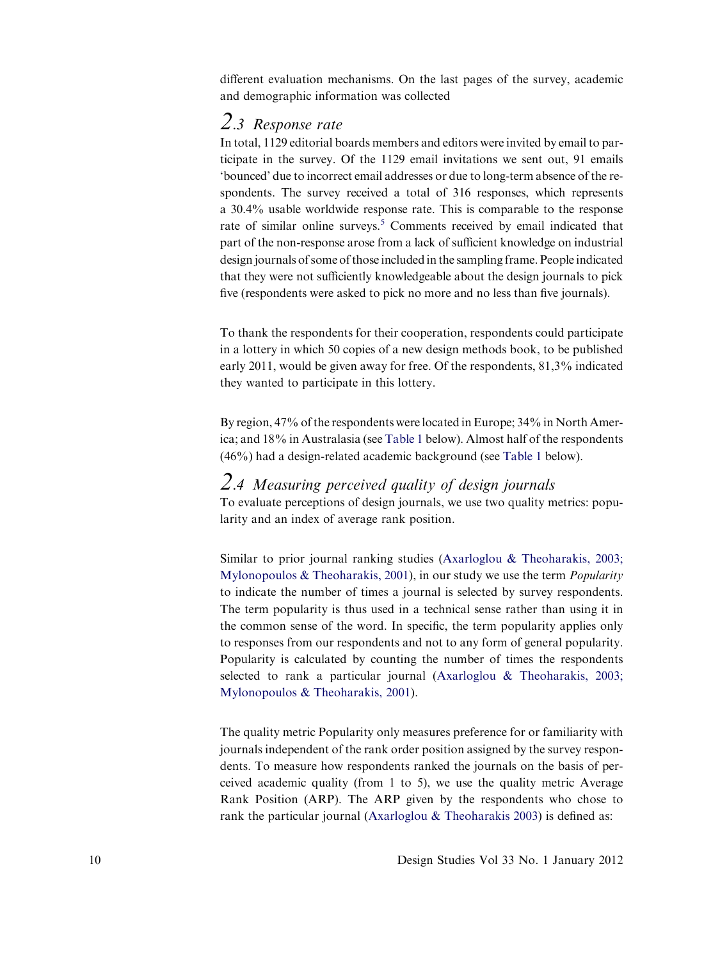different evaluation mechanisms. On the last pages of the survey, academic and demographic information was collected

### 2.3 Response rate

In total, 1129 editorial boards members and editors were invited by email to participate in the survey. Of the 1129 email invitations we sent out, 91 emails 'bounced' due to incorrect email addresses or due to long-term absence of the respondents. The survey received a total of 316 responses, which represents a 30.4% usable worldwide response rate. This is comparable to the response rate of similar online surveys.<sup>5</sup> Comments received by email indicated that part of the non-response arose from a lack of sufficient knowledge on industrial design journals of some of those included in the sampling frame. People indicated that they were not sufficiently knowledgeable about the design journals to pick five (respondents were asked to pick no more and no less than five journals).

To thank the respondents for their cooperation, respondents could participate in a lottery in which 50 copies of a new design methods book, to be published early 2011, would be given away for free. Of the respondents, 81,3% indicated they wanted to participate in this lottery.

By region, 47% of the respondents were located in Europe; 34% in North America; and 18% in Australasia (see [Table 1](#page-7-0) below). Almost half of the respondents (46%) had a design-related academic background (see [Table 1](#page-7-0) below).

### 2.4 Measuring perceived quality of design journals

To evaluate perceptions of design journals, we use two quality metrics: popularity and an index of average rank position.

Similar to prior journal ranking studies ([Axarloglou & Theoharakis, 2003;](#page-18-0) [Mylonopoulos & Theoharakis, 2001](#page-18-0)), in our study we use the term Popularity to indicate the number of times a journal is selected by survey respondents. The term popularity is thus used in a technical sense rather than using it in the common sense of the word. In specific, the term popularity applies only to responses from our respondents and not to any form of general popularity. Popularity is calculated by counting the number of times the respondents selected to rank a particular journal ([Axarloglou & Theoharakis, 2003;](#page-18-0) [Mylonopoulos & Theoharakis, 2001\)](#page-18-0).

The quality metric Popularity only measures preference for or familiarity with journals independent of the rank order position assigned by the survey respondents. To measure how respondents ranked the journals on the basis of perceived academic quality (from 1 to 5), we use the quality metric Average Rank Position (ARP). The ARP given by the respondents who chose to rank the particular journal ([Axarloglou & Theoharakis 2003](#page-18-0)) is defined as: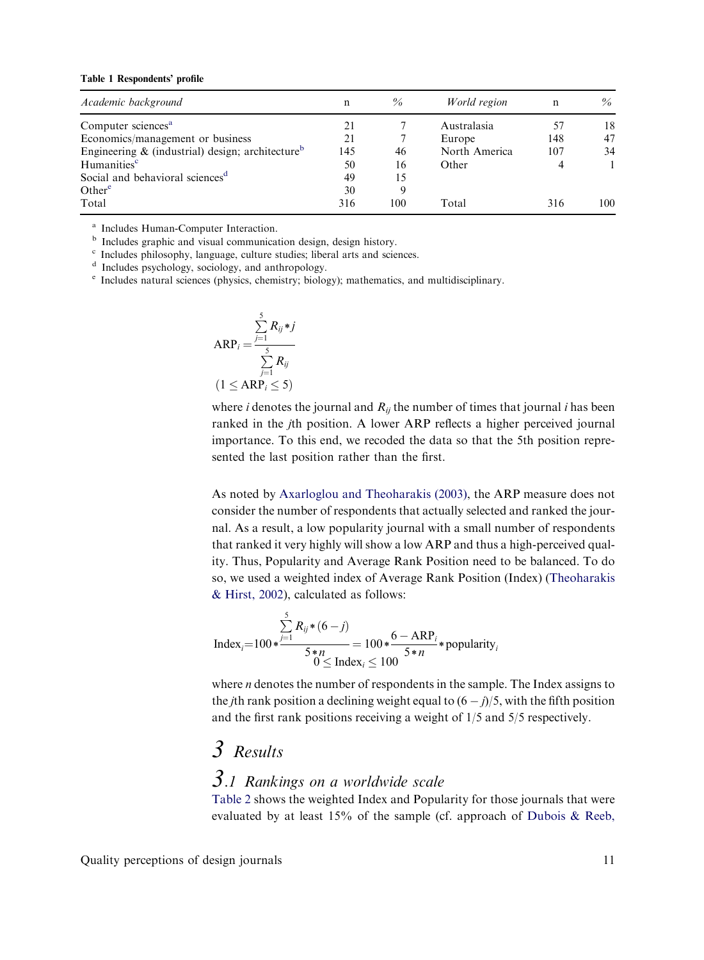#### <span id="page-7-0"></span>Table 1 Respondents' profile

| Academic background                                             | $\mathbf n$ | $\%$ | World region  | n   | $\%$ |
|-----------------------------------------------------------------|-------------|------|---------------|-----|------|
| Computer sciences <sup>a</sup>                                  |             |      | Australasia   | 57  | 18   |
| Economics/management or business                                | 21          |      | Europe        | 148 | 47   |
| Engineering $\&$ (industrial) design; architecture <sup>b</sup> | 145         | 46   | North America | 107 | 34   |
| Humanities <sup>c</sup>                                         | 50          | 16   | Other         |     |      |
| Social and behavioral sciences <sup>d</sup>                     | 49          | 15   |               |     |      |
| Other $e$                                                       | 30          |      |               |     |      |
| Total                                                           | 316         | 100  | Total         | 316 | 100  |

<sup>a</sup> Includes Human-Computer Interaction.<br><sup>b</sup> Includes graphic and visual communication design, design history.

<sup>c</sup> Includes philosophy, language, culture studies; liberal arts and sciences.<br>
<sup>d</sup> Includes psychology, sociology, and anthropology.<br>
<sup>e</sup> Includes natural sciences (physics, chemistry; biology); mathematics, and multidisc

$$
ARP_i = \frac{\sum_{j=1}^{5} R_{ij} * j}{\sum_{j=1}^{5} R_{ij}}
$$
  
(1 ≤ ARP<sub>i</sub> ≤ 5)

where *i* denotes the journal and  $R_{ij}$  the number of times that journal *i* has been ranked in the jth position. A lower ARP reflects a higher perceived journal importance. To this end, we recoded the data so that the 5th position represented the last position rather than the first.

As noted by [Axarloglou and Theoharakis \(2003\)](#page-18-0), the ARP measure does not consider the number of respondents that actually selected and ranked the journal. As a result, a low popularity journal with a small number of respondents that ranked it very highly will show a low ARP and thus a high-perceived quality. Thus, Popularity and Average Rank Position need to be balanced. To do so, we used a weighted index of Average Rank Position (Index) [\(Theoharakis](#page-19-0) [& Hirst, 2002](#page-19-0)), calculated as follows:

$$
Index_i = 100 * \frac{\sum_{j=1}^{5} R_{ij} * (6-j)}{5*n} = 100 * \frac{6 - ARP_i}{5*n} * popularity_i
$$
\n
$$
0 \leq Index_i \leq 100
$$

where *n* denotes the number of respondents in the sample. The Index assigns to the *j*th rank position a declining weight equal to  $(6 - j)/5$ , with the fifth position and the first rank positions receiving a weight of 1/5 and 5/5 respectively.

# 3 Results

### 3.1 Rankings on a worldwide scale

[Table 2](#page-8-0) shows the weighted Index and Popularity for those journals that were evaluated by at least 15% of the sample (cf. approach of [Dubois & Reeb,](#page-19-0)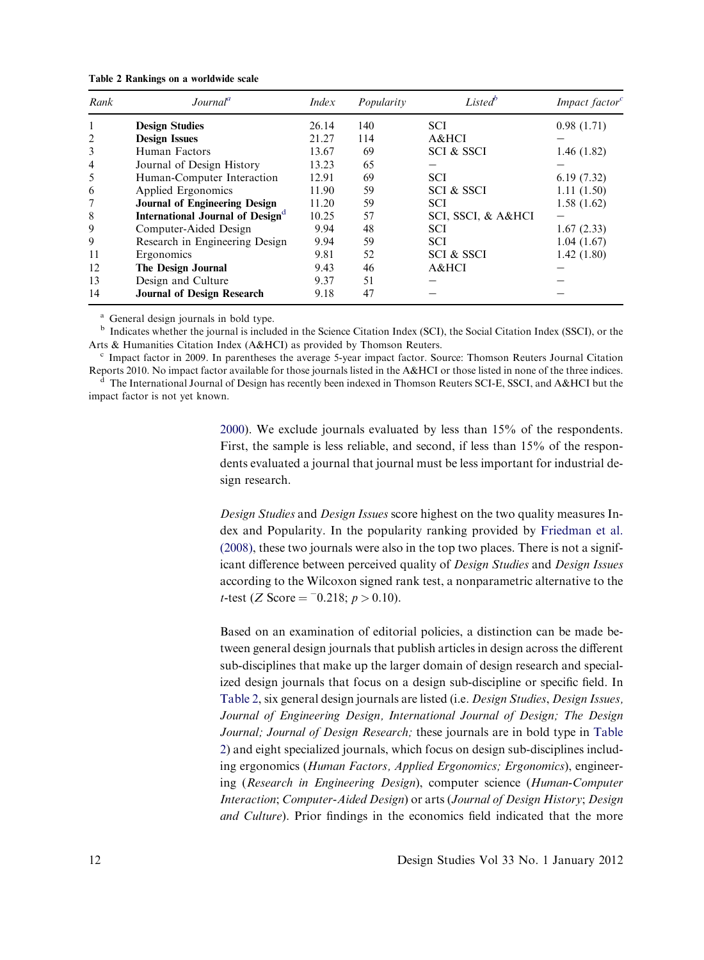| Rank           | Journal <sup>a</sup>                         | <i>Index</i> | Popularity | Listed <sup>b</sup>   | Impact factor <sup>c</sup> |
|----------------|----------------------------------------------|--------------|------------|-----------------------|----------------------------|
|                | <b>Design Studies</b>                        | 26.14        | 140        | <b>SCI</b>            | 0.98(1.71)                 |
| $\overline{2}$ | <b>Design Issues</b>                         | 21.27        | 114        | A&HCI                 |                            |
| 3              | Human Factors                                | 13.67        | 69         | <b>SCI &amp; SSCI</b> | 1.46(1.82)                 |
| $\overline{4}$ | Journal of Design History                    | 13.23        | 65         |                       |                            |
| 5              | Human-Computer Interaction                   | 12.91        | 69         | <b>SCI</b>            | 6.19(7.32)                 |
| 6              | Applied Ergonomics                           | 11.90        | 59         | <b>SCI &amp; SSCI</b> | 1.11(1.50)                 |
|                | <b>Journal of Engineering Design</b>         | 11.20        | 59         | <b>SCI</b>            | 1.58(1.62)                 |
| 8              | International Journal of Design <sup>d</sup> | 10.25        | 57         | SCI, SSCI, & A&HCI    |                            |
| 9              | Computer-Aided Design                        | 9.94         | 48         | <b>SCI</b>            | 1.67(2.33)                 |
| 9              | Research in Engineering Design               | 9.94         | 59         | <b>SCI</b>            | 1.04(1.67)                 |
| 11             | Ergonomics                                   | 9.81         | 52         | SCI & SSCI            | 1.42(1.80)                 |
| 12             | The Design Journal                           | 9.43         | 46         | A&HCI                 |                            |
| 13             | Design and Culture                           | 9.37         | 51         |                       |                            |
| 14             | <b>Journal of Design Research</b>            | 9.18         | 47         |                       |                            |

<span id="page-8-0"></span>Table 2 Rankings on a worldwide scale

<sup>a</sup> General design journals in bold type.

<sup>b</sup> Indicates whether the journal is included in the Science Citation Index (SCI), the Social Citation Index (SSCI), or the Arts & Humanities Citation Index (A&HCI) as provided by Thomson Reuters.<br><sup>c</sup> Impact factor in 2009. In parentheses the average 5-year impact factor. Source: Thomson Reuters Journal Citation

Reports 2010. No impact factor available for those journals listed in the A&HCI or those listed in none of the three indices. <sup>d</sup> The International Journal of Design has recently been indexed in Thomson Reuters SCI-E, SSCI, and A&HCI but the

impact factor is not yet known.

[2000](#page-19-0)). We exclude journals evaluated by less than 15% of the respondents. First, the sample is less reliable, and second, if less than 15% of the respondents evaluated a journal that journal must be less important for industrial design research.

Design Studies and Design Issues score highest on the two quality measures Index and Popularity. In the popularity ranking provided by [Friedman et al.](#page-19-0) [\(2008\),](#page-19-0) these two journals were also in the top two places. There is not a significant difference between perceived quality of Design Studies and Design Issues according to the Wilcoxon signed rank test, a nonparametric alternative to the t-test (Z Score =  $-0.218$ ; p > 0.10).

Based on an examination of editorial policies, a distinction can be made between general design journals that publish articles in design across the different sub-disciplines that make up the larger domain of design research and specialized design journals that focus on a design sub-discipline or specific field. In Table 2, six general design journals are listed (i.e. Design Studies, Design Issues, Journal of Engineering Design, International Journal of Design; The Design Journal; Journal of Design Research; these journals are in bold type in Table 2) and eight specialized journals, which focus on design sub-disciplines including ergonomics (Human Factors, Applied Ergonomics; Ergonomics), engineering (Research in Engineering Design), computer science (Human-Computer Interaction; Computer-Aided Design) or arts (Journal of Design History; Design and Culture). Prior findings in the economics field indicated that the more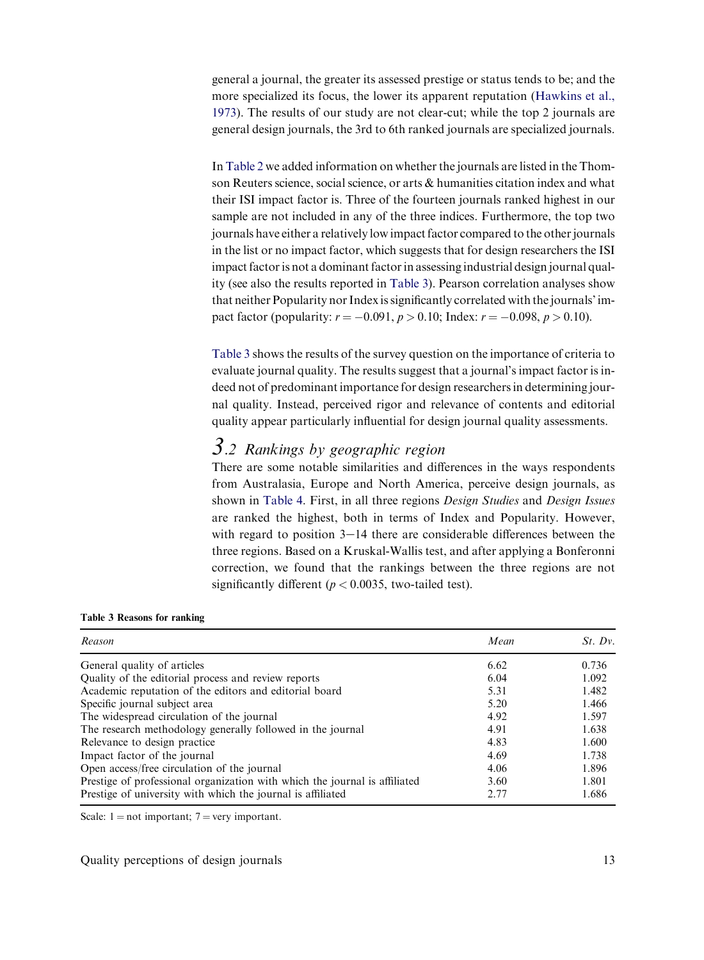<span id="page-9-0"></span>general a journal, the greater its assessed prestige or status tends to be; and the more specialized its focus, the lower its apparent reputation [\(Hawkins et al.,](#page-19-0) [1973\)](#page-19-0). The results of our study are not clear-cut; while the top 2 journals are general design journals, the 3rd to 6th ranked journals are specialized journals.

In [Table 2](#page-8-0) we added information on whether the journals are listed in the Thomson Reuters science, social science, or arts & humanities citation index and what their ISI impact factor is. Three of the fourteen journals ranked highest in our sample are not included in any of the three indices. Furthermore, the top two journals have either a relatively low impact factor compared to the other journals in the list or no impact factor, which suggests that for design researchers the ISI impact factor is not a dominant factor in assessing industrial design journal quality (see also the results reported in Table 3). Pearson correlation analyses show that neither Popularity nor Index is significantly correlated with the journals' impact factor (popularity:  $r = -0.091$ ,  $p > 0.10$ ; Index:  $r = -0.098$ ,  $p > 0.10$ ).

Table 3 shows the results of the survey question on the importance of criteria to evaluate journal quality. The results suggest that a journal's impact factor is indeed not of predominant importance for design researchers in determining journal quality. Instead, perceived rigor and relevance of contents and editorial quality appear particularly influential for design journal quality assessments.

### 3.2 Rankings by geographic region

There are some notable similarities and differences in the ways respondents from Australasia, Europe and North America, perceive design journals, as shown in [Table 4](#page-10-0). First, in all three regions Design Studies and Design Issues are ranked the highest, both in terms of Index and Popularity. However, with regard to position  $3-14$  there are considerable differences between the three regions. Based on a Kruskal-Wallis test, and after applying a Bonferonni correction, we found that the rankings between the three regions are not significantly different ( $p < 0.0035$ , two-tailed test).

| Table 3 Reasons for ranking |  |  |  |  |  |  |
|-----------------------------|--|--|--|--|--|--|
|-----------------------------|--|--|--|--|--|--|

| Reason                                                                     | Mean | St. Dv. |
|----------------------------------------------------------------------------|------|---------|
| General quality of articles                                                | 6.62 | 0.736   |
| Quality of the editorial process and review reports                        | 6.04 | 1.092   |
| Academic reputation of the editors and editorial board                     | 5.31 | 1.482   |
| Specific journal subject area                                              | 5.20 | 1.466   |
| The widespread circulation of the journal                                  | 4.92 | 1.597   |
| The research methodology generally followed in the journal                 | 4.91 | 1.638   |
| Relevance to design practice                                               | 4.83 | 1.600   |
| Impact factor of the journal                                               | 4.69 | 1.738   |
| Open access/free circulation of the journal                                | 4.06 | 1.896   |
| Prestige of professional organization with which the journal is affiliated | 3.60 | 1.801   |
| Prestige of university with which the journal is affiliated                | 2.77 | 1.686   |

Scale:  $1 = not important$ ;  $7 = very important$ .

Quality perceptions of design journals 13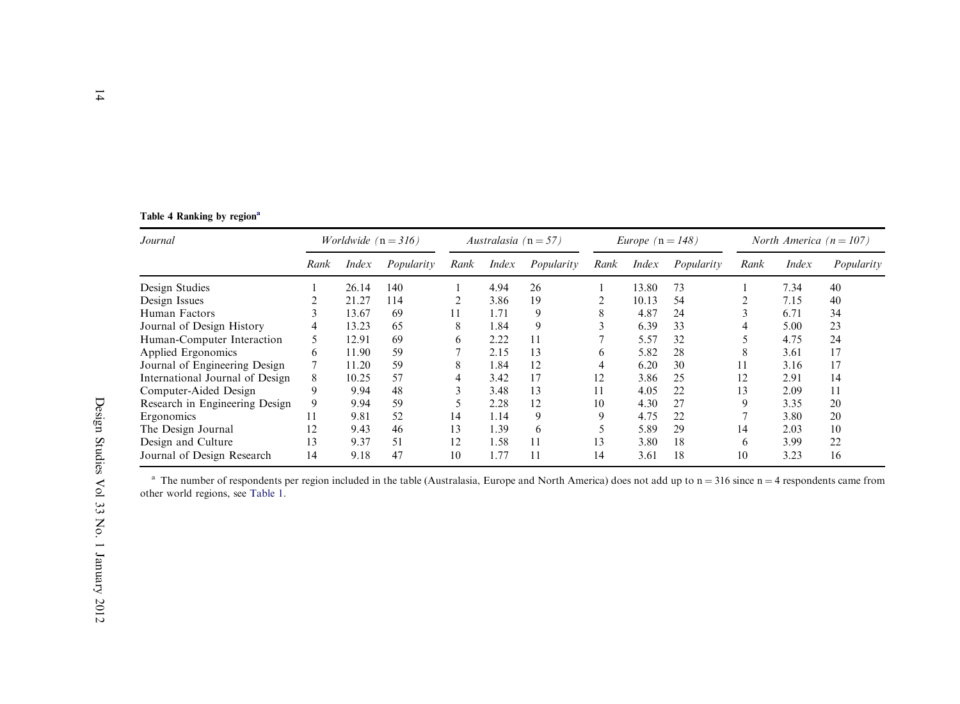<span id="page-10-0"></span>

|  |  | Table 4 Ranking by region <sup>a</sup> |
|--|--|----------------------------------------|
|  |  |                                        |

| Journal                         | <i>Worldwide</i> $(n = 316)$ |              | Australasia ( $n = 57$ ) |      |              | Europe $(n = 148)$ |      |              | North America $(n = 107)$ |      |              |            |
|---------------------------------|------------------------------|--------------|--------------------------|------|--------------|--------------------|------|--------------|---------------------------|------|--------------|------------|
|                                 | Rank                         | <i>Index</i> | Popularity               | Rank | <i>Index</i> | Popularity         | Rank | <i>Index</i> | Popularity                | Rank | <i>Index</i> | Popularity |
| Design Studies                  |                              | 26.14        | 140                      |      | 4.94         | 26                 |      | 13.80        | 73                        |      | 7.34         | 40         |
| Design Issues                   |                              | 21.27        | 114                      |      | 3.86         | 19                 |      | 10.13        | 54                        |      | 7.15         | 40         |
| Human Factors                   |                              | 13.67        | 69                       |      | 1.71         | 9                  | 8    | 4.87         | 24                        |      | 6.71         | 34         |
| Journal of Design History       | 4                            | 13.23        | 65                       | 8    | 1.84         | 9                  |      | 6.39         | 33                        | 4    | 5.00         | 23         |
| Human-Computer Interaction      |                              | 12.91        | 69                       | 6    | 2.22         | 11                 |      | 5.57         | 32                        |      | 4.75         | 24         |
| Applied Ergonomics              | 6                            | 11.90        | 59                       |      | 2.15         | 13                 | 6    | 5.82         | 28                        | 8    | 3.61         | 17         |
| Journal of Engineering Design   |                              | 11.20        | 59                       | 8    | 1.84         | 12                 | 4    | 6.20         | 30                        | 11   | 3.16         | 17         |
| International Journal of Design | 8                            | 10.25        | 57                       |      | 3.42         | 17                 | 12   | 3.86         | 25                        | 12   | 2.91         | 14         |
| Computer-Aided Design           |                              | 9.94         | 48                       | ◠    | 3.48         | 13                 | 11   | 4.05         | 22                        | 13   | 2.09         | 11         |
| Research in Engineering Design  | 9                            | 9.94         | 59                       |      | 2.28         | 12                 | 10   | 4.30         | 27                        | 9    | 3.35         | 20         |
| Ergonomics                      | 11                           | 9.81         | 52                       | 14   | 1.14         | 9                  | 9    | 4.75         | 22                        |      | 3.80         | 20         |
| The Design Journal              | 12                           | 9.43         | 46                       | 13   | 1.39         | 6                  |      | 5.89         | 29                        | 14   | 2.03         | 10         |
| Design and Culture              | 13                           | 9.37         | 51                       | 12   | 1.58         | 11                 | 13   | 3.80         | 18                        | 6    | 3.99         | 22         |
| Journal of Design Research      | 14                           | 9.18         | 47                       | 10   | 1.77         | 11                 | 14   | 3.61         | 18                        | 10   | 3.23         | 16         |

<sup>a</sup> The number of respondents per region included in the table (Australasia, Europe and North America) does not add up to  $n = 316$  since  $n = 4$  respondents came from other world regions, see [Table](#page-7-0) 1.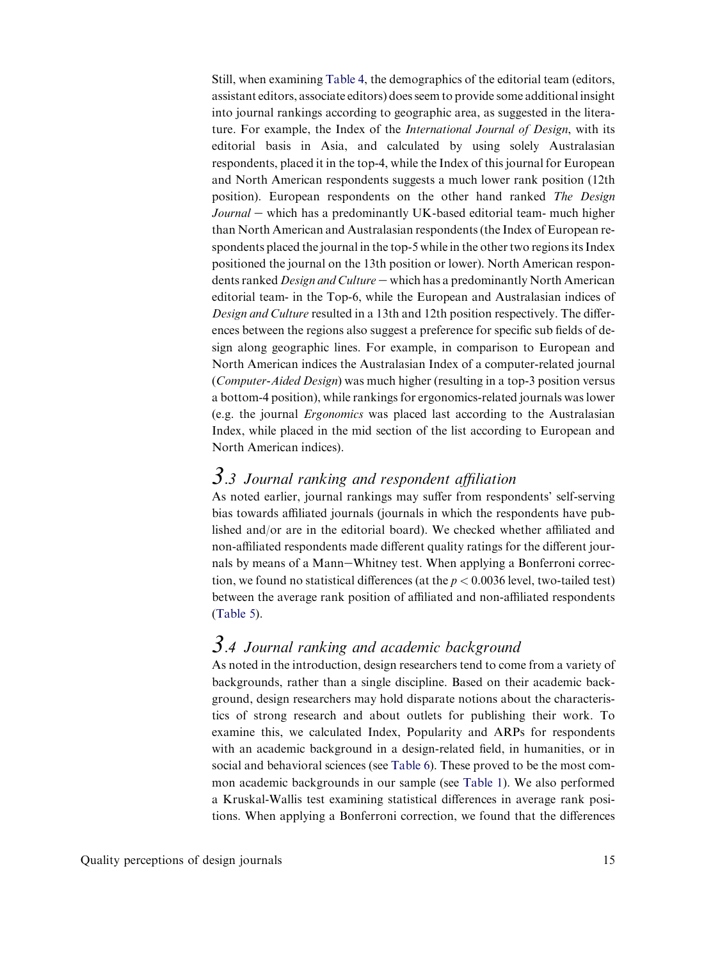Still, when examining [Table 4,](#page-10-0) the demographics of the editorial team (editors, assistant editors, associate editors) does seem to provide some additional insight into journal rankings according to geographic area, as suggested in the literature. For example, the Index of the International Journal of Design, with its editorial basis in Asia, and calculated by using solely Australasian respondents, placed it in the top-4, while the Index of this journal for European and North American respondents suggests a much lower rank position (12th position). European respondents on the other hand ranked The Design  $Journal$  – which has a predominantly UK-based editorial team- much higher than North American and Australasian respondents (the Index of European respondents placed the journal in the top-5 while in the other two regions its Index positioned the journal on the 13th position or lower). North American respondents ranked *Design and Culture*  $-$  which has a predominantly North American editorial team- in the Top-6, while the European and Australasian indices of Design and Culture resulted in a 13th and 12th position respectively. The differences between the regions also suggest a preference for specific sub fields of design along geographic lines. For example, in comparison to European and North American indices the Australasian Index of a computer-related journal (Computer-Aided Design) was much higher (resulting in a top-3 position versus a bottom-4 position), while rankings for ergonomics-related journals was lower (e.g. the journal Ergonomics was placed last according to the Australasian Index, while placed in the mid section of the list according to European and North American indices).

### $3.3$  Journal ranking and respondent affiliation

As noted earlier, journal rankings may suffer from respondents' self-serving bias towards affiliated journals (journals in which the respondents have published and/or are in the editorial board). We checked whether affiliated and non-affiliated respondents made different quality ratings for the different journals by means of a Mann-Whitney test. When applying a Bonferroni correction, we found no statistical differences (at the  $p < 0.0036$  level, two-tailed test) between the average rank position of affiliated and non-affiliated respondents [\(Table 5\)](#page-12-0).

### 3.4 Journal ranking and academic background

As noted in the introduction, design researchers tend to come from a variety of backgrounds, rather than a single discipline. Based on their academic background, design researchers may hold disparate notions about the characteristics of strong research and about outlets for publishing their work. To examine this, we calculated Index, Popularity and ARPs for respondents with an academic background in a design-related field, in humanities, or in social and behavioral sciences (see [Table 6\)](#page-13-0). These proved to be the most common academic backgrounds in our sample (see [Table 1](#page-7-0)). We also performed a Kruskal-Wallis test examining statistical differences in average rank positions. When applying a Bonferroni correction, we found that the differences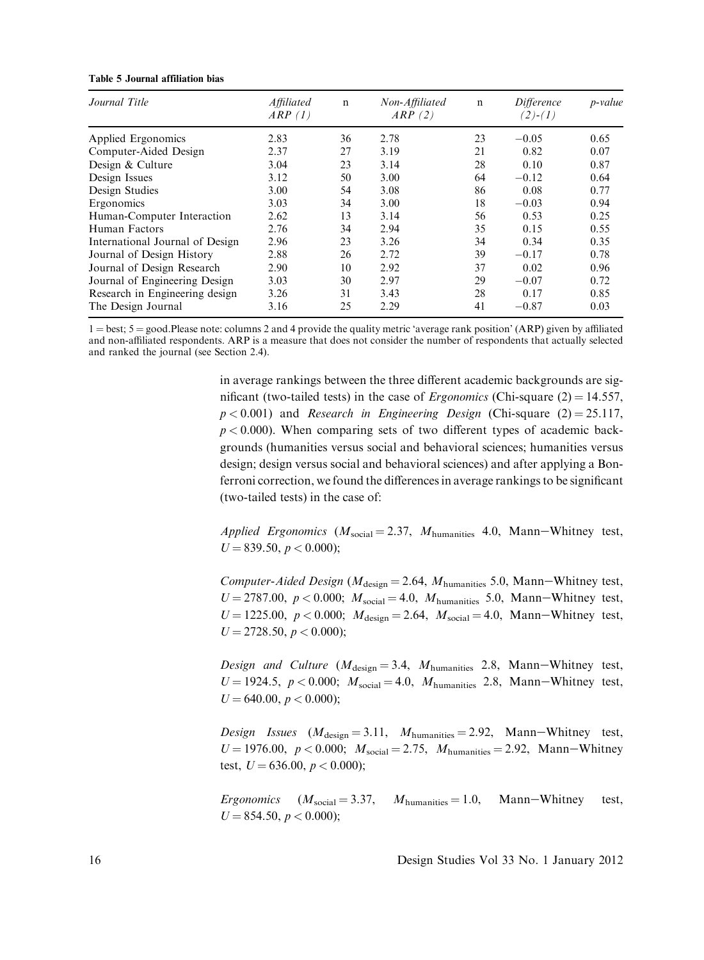<span id="page-12-0"></span>

|  |  |  |  | Table 5 Journal affiliation bias |  |
|--|--|--|--|----------------------------------|--|
|--|--|--|--|----------------------------------|--|

| Journal Title                   | Affiliated<br>ARP (1) | $\mathsf{n}$ | Non-Affiliated<br>ARP(2) | $\mathbf n$ | Difference<br>$(2)-(1)$ | <i>p</i> -value |
|---------------------------------|-----------------------|--------------|--------------------------|-------------|-------------------------|-----------------|
| Applied Ergonomics              | 2.83                  | 36           | 2.78                     | 23          | $-0.05$                 | 0.65            |
| Computer-Aided Design           | 2.37                  | 27           | 3.19                     | 21          | 0.82                    | 0.07            |
| Design & Culture                | 3.04                  | 23           | 3.14                     | 28          | 0.10                    | 0.87            |
| Design Issues                   | 3.12                  | 50           | 3.00                     | 64          | $-0.12$                 | 0.64            |
| Design Studies                  | 3.00                  | 54           | 3.08                     | 86          | 0.08                    | 0.77            |
| Ergonomics                      | 3.03                  | 34           | 3.00                     | 18          | $-0.03$                 | 0.94            |
| Human-Computer Interaction      | 2.62                  | 13           | 3.14                     | 56          | 0.53                    | 0.25            |
| Human Factors                   | 2.76                  | 34           | 2.94                     | 35          | 0.15                    | 0.55            |
| International Journal of Design | 2.96                  | 23           | 3.26                     | 34          | 0.34                    | 0.35            |
| Journal of Design History       | 2.88                  | 26           | 2.72                     | 39          | $-0.17$                 | 0.78            |
| Journal of Design Research      | 2.90                  | 10           | 2.92                     | 37          | 0.02                    | 0.96            |
| Journal of Engineering Design   | 3.03                  | 30           | 2.97                     | 29          | $-0.07$                 | 0.72            |
| Research in Engineering design  | 3.26                  | 31           | 3.43                     | 28          | 0.17                    | 0.85            |
| The Design Journal              | 3.16                  | 25           | 2.29                     | 41          | $-0.87$                 | 0.03            |

 $1 = best$ ;  $5 = good$ . Please note: columns 2 and 4 provide the quality metric 'average rank position' (ARP) given by affiliated and non-affiliated respondents. ARP is a measure that does not consider the number of respondents that actually selected and ranked the journal (see Section 2.4).

> in average rankings between the three different academic backgrounds are significant (two-tailed tests) in the case of *Ergonomics* (Chi-square  $(2) = 14.557$ ,  $p < 0.001$ ) and Research in Engineering Design (Chi-square (2) = 25.117,  $p < 0.000$ ). When comparing sets of two different types of academic backgrounds (humanities versus social and behavioral sciences; humanities versus design; design versus social and behavioral sciences) and after applying a Bonferroni correction, we found the differences in average rankings to be significant (two-tailed tests) in the case of:

> Applied Ergonomics ( $M_{\text{social}} = 2.37$ ,  $M_{\text{humanities}}$  4.0, Mann-Whitney test,  $U = 839.50, p < 0.000$ ;

> Computer-Aided Design ( $M_{\text{design}} = 2.64$ ,  $M_{\text{humanities}}$  5.0, Mann-Whitney test,  $U = 2787.00, p < 0.000; M_{\text{social}} = 4.0, M_{\text{humanities}}$  5.0, Mann-Whitney test,  $U = 1225.00, p < 0.000; M_{\text{design}} = 2.64, M_{\text{social}} = 4.0, \text{ Mann}-Whitney test,$  $U = 2728.50, p < 0.000$ ;

> Design and Culture ( $M_{\text{design}} = 3.4$ ,  $M_{\text{humanities}}$  2.8, Mann-Whitney test,  $U = 1924.5$ ,  $p < 0.000$ ;  $M_{\text{social}} = 4.0$ ,  $M_{\text{humanities}}$  2.8, Mann-Whitney test,  $U = 640.00, p < 0.000$ ;

> Design Issues  $(M_{\text{design}} = 3.11, M_{\text{humanities}} = 2.92, Mann-Whitney test,$  $U = 1976.00, p < 0.000; M_{social} = 2.75, M_{humanities} = 2.92, Mann–Whitney$ test,  $U = 636.00, p < 0.000$ ;

> Ergonomics  $(M_{\text{social}} = 3.37, M_{\text{humanities}} = 1.0, M_{\text{ann}}-Whitney \text{test},$  $U = 854.50, p < 0.000$ ;

16 Design Studies Vol 33 No. 1 January 2012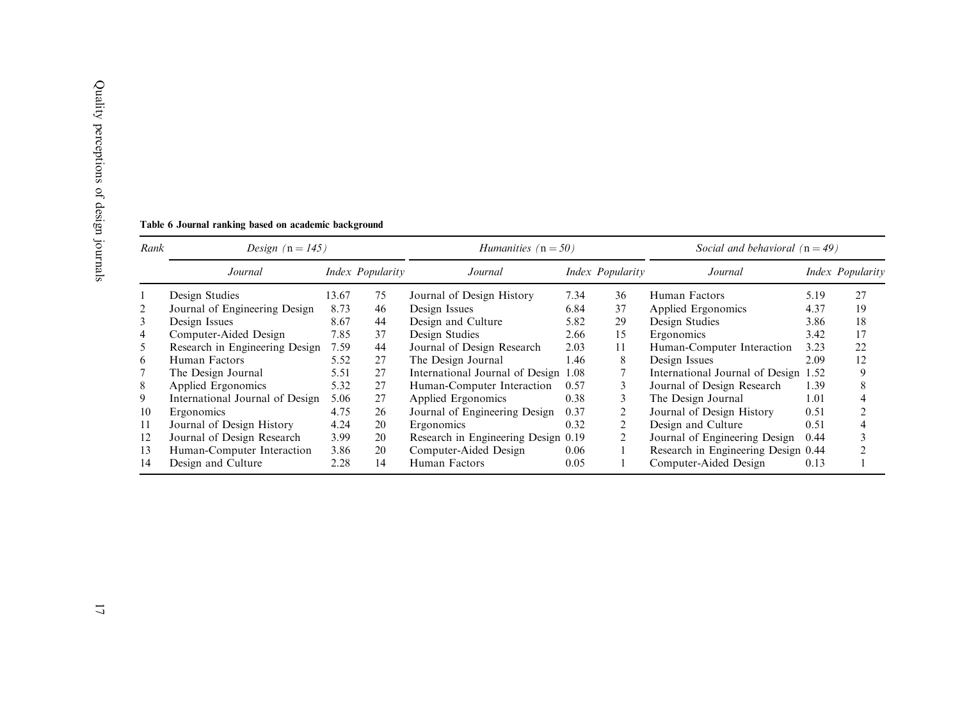| Table 6 |  |
|---------|--|
| Rank    |  |
|         |  |

| Table 6 Journal ranking based on academic background |  |  |  |
|------------------------------------------------------|--|--|--|
|------------------------------------------------------|--|--|--|

| Rank | Design $(n = 145)$              |       |                  | <i>Humanities</i> $(n = 50)$         |      |                  | Social and behavioral $(n = 49)$     |      |                  |
|------|---------------------------------|-------|------------------|--------------------------------------|------|------------------|--------------------------------------|------|------------------|
|      | Journal                         |       | Index Popularity | Journal                              |      | Index Popularity | Journal                              |      | Index Popularity |
|      | Design Studies                  | 13.67 | 75               | Journal of Design History            | 7.34 | 36               | Human Factors                        | 5.19 | 27               |
| 2    | Journal of Engineering Design   | 8.73  | 46               | Design Issues                        | 6.84 | 37               | Applied Ergonomics                   | 4.37 | 19               |
| 3    | Design Issues                   | 8.67  | 44               | Design and Culture                   | 5.82 | 29               | Design Studies                       | 3.86 | 18               |
| 4    | Computer-Aided Design           | 7.85  | 37               | Design Studies                       | 2.66 | 15               | Ergonomics                           | 3.42 | 17               |
| 5    | Research in Engineering Design  | 7.59  | 44               | Journal of Design Research           | 2.03 | 11               | Human-Computer Interaction           | 3.23 | 22               |
| 6    | Human Factors                   | 5.52  | 27               | The Design Journal                   | 1.46 | 8                | Design Issues                        | 2.09 | 12               |
|      | The Design Journal              | 5.51  | 27               | International Journal of Design 1.08 |      |                  | International Journal of Design 1.52 |      | 9                |
| 8    | Applied Ergonomics              | 5.32  | 27               | Human-Computer Interaction           | 0.57 |                  | Journal of Design Research           | 1.39 | 8                |
| 9    | International Journal of Design | 5.06  | 27               | Applied Ergonomics                   | 0.38 |                  | The Design Journal                   | 1.01 |                  |
| 10   | Ergonomics                      | 4.75  | 26               | Journal of Engineering Design        | 0.37 |                  | Journal of Design History            | 0.51 |                  |
| 11   | Journal of Design History       | 4.24  | 20               | Ergonomics                           | 0.32 |                  | Design and Culture                   | 0.51 |                  |
| 12   | Journal of Design Research      | 3.99  | 20               | Research in Engineering Design 0.19  |      |                  | Journal of Engineering Design        | 0.44 |                  |
| 13   | Human-Computer Interaction      | 3.86  | 20               | Computer-Aided Design                | 0.06 |                  | Research in Engineering Design 0.44  |      |                  |
| 14   | Design and Culture              | 2.28  | 14               | Human Factors                        | 0.05 |                  | Computer-Aided Design                | 0.13 |                  |

<span id="page-13-0"></span>Quality perceptions of design journals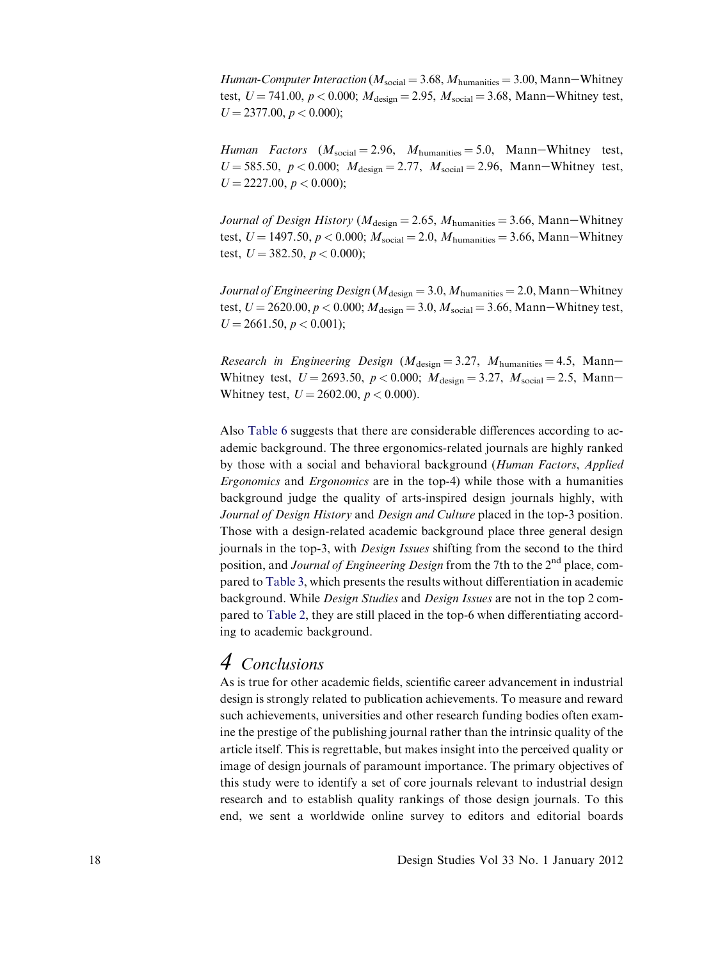Human-Computer Interaction ( $M_{\text{social}} = 3.68$ ,  $M_{\text{humanities}} = 3.00$ , Mann-Whitney test,  $U = 741.00$ ,  $p < 0.000$ ;  $M_{\text{design}} = 2.95$ ,  $M_{\text{social}} = 3.68$ , Mann-Whitney test,  $U = 2377.00, p < 0.000$ ;

Human Factors  $(M_{\text{social}} = 2.96, M_{\text{humanities}} = 5.0, \text{ Mann}-Whitney \text{test},$  $U = 585.50, p < 0.000; M_{\text{design}} = 2.77, M_{\text{social}} = 2.96, \text{ Mann}-Whitney test,$  $U = 2227.00, p < 0.000$ ;

Journal of Design History ( $M_{\text{design}} = 2.65$ ,  $M_{\text{humanities}} = 3.66$ , Mann-Whitney test,  $U = 1497.50, p < 0.000; M_{social} = 2.0, M_{humanities} = 3.66, Mann-Whitney$ test,  $U = 382.50, p < 0.000$ ;

Journal of Engineering Design ( $M_{\text{design}} = 3.0, M_{\text{humanities}} = 2.0, \text{Mann}-\text{Whitney}$ test,  $U = 2620.00, p < 0.000; M_{\text{design}} = 3.0, M_{\text{social}} = 3.66, \text{Mann-Whitney test},$  $U = 2661.50, p < 0.001$ ;

Research in Engineering Design ( $M_{\text{design}} = 3.27$ ,  $M_{\text{humanities}} = 4.5$ , Mann-Whitney test,  $U = 2693.50$ ,  $p < 0.000$ ;  $M_{\text{design}} = 3.27$ ,  $M_{\text{social}} = 2.5$ , Mann-Whitney test,  $U = 2602.00, p < 0.000$ .

Also [Table 6](#page-13-0) suggests that there are considerable differences according to academic background. The three ergonomics-related journals are highly ranked by those with a social and behavioral background (Human Factors, Applied Ergonomics and Ergonomics are in the top-4) while those with a humanities background judge the quality of arts-inspired design journals highly, with Journal of Design History and Design and Culture placed in the top-3 position. Those with a design-related academic background place three general design journals in the top-3, with Design Issues shifting from the second to the third position, and *Journal of Engineering Design* from the 7th to the 2<sup>nd</sup> place, compared to [Table 3](#page-9-0), which presents the results without differentiation in academic background. While Design Studies and Design Issues are not in the top 2 compared to [Table 2](#page-8-0), they are still placed in the top-6 when differentiating according to academic background.

### 4 Conclusions

As is true for other academic fields, scientific career advancement in industrial design is strongly related to publication achievements. To measure and reward such achievements, universities and other research funding bodies often examine the prestige of the publishing journal rather than the intrinsic quality of the article itself. This is regrettable, but makes insight into the perceived quality or image of design journals of paramount importance. The primary objectives of this study were to identify a set of core journals relevant to industrial design research and to establish quality rankings of those design journals. To this end, we sent a worldwide online survey to editors and editorial boards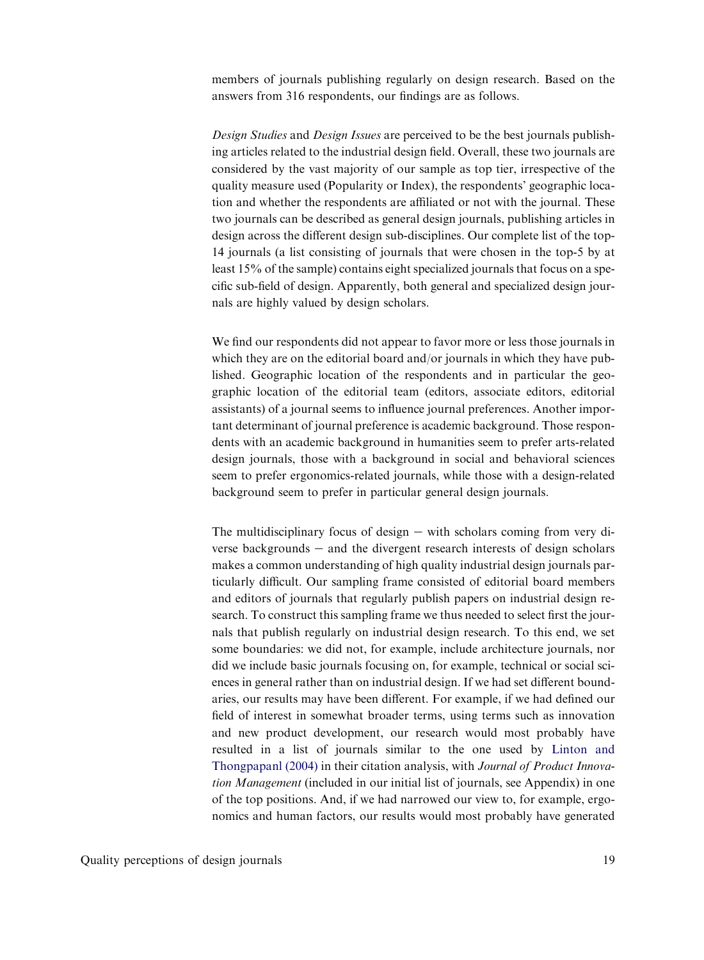members of journals publishing regularly on design research. Based on the answers from 316 respondents, our findings are as follows.

Design Studies and Design Issues are perceived to be the best journals publishing articles related to the industrial design field. Overall, these two journals are considered by the vast majority of our sample as top tier, irrespective of the quality measure used (Popularity or Index), the respondents' geographic location and whether the respondents are affiliated or not with the journal. These two journals can be described as general design journals, publishing articles in design across the different design sub-disciplines. Our complete list of the top-14 journals (a list consisting of journals that were chosen in the top-5 by at least 15% of the sample) contains eight specialized journals that focus on a specific sub-field of design. Apparently, both general and specialized design journals are highly valued by design scholars.

We find our respondents did not appear to favor more or less those journals in which they are on the editorial board and/or journals in which they have published. Geographic location of the respondents and in particular the geographic location of the editorial team (editors, associate editors, editorial assistants) of a journal seems to influence journal preferences. Another important determinant of journal preference is academic background. Those respondents with an academic background in humanities seem to prefer arts-related design journals, those with a background in social and behavioral sciences seem to prefer ergonomics-related journals, while those with a design-related background seem to prefer in particular general design journals.

The multidisciplinary focus of design  $-$  with scholars coming from very diverse backgrounds  $-$  and the divergent research interests of design scholars makes a common understanding of high quality industrial design journals particularly difficult. Our sampling frame consisted of editorial board members and editors of journals that regularly publish papers on industrial design research. To construct this sampling frame we thus needed to select first the journals that publish regularly on industrial design research. To this end, we set some boundaries: we did not, for example, include architecture journals, nor did we include basic journals focusing on, for example, technical or social sciences in general rather than on industrial design. If we had set different boundaries, our results may have been different. For example, if we had defined our field of interest in somewhat broader terms, using terms such as innovation and new product development, our research would most probably have resulted in a list of journals similar to the one used by [Linton and](#page-19-0) [Thongpapanl \(2004\)](#page-19-0) in their citation analysis, with Journal of Product Innovation Management (included in our initial list of journals, see Appendix) in one of the top positions. And, if we had narrowed our view to, for example, ergonomics and human factors, our results would most probably have generated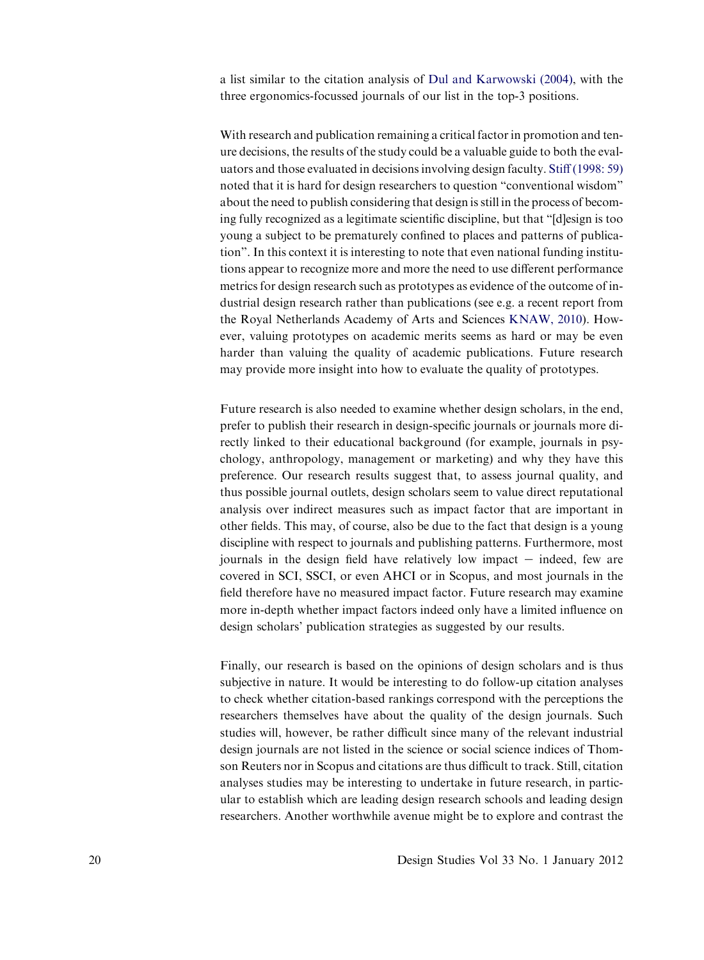a list similar to the citation analysis of [Dul and Karwowski \(2004\)](#page-19-0), with the three ergonomics-focussed journals of our list in the top-3 positions.

With research and publication remaining a critical factor in promotion and tenure decisions, the results of the study could be a valuable guide to both the evaluators and those evaluated in decisions involving design faculty. [Stiff \(1998: 59\)](#page-19-0) noted that it is hard for design researchers to question "conventional wisdom" about the need to publish considering that design is still in the process of becoming fully recognized as a legitimate scientific discipline, but that "[d]esign is too young a subject to be prematurely confined to places and patterns of publication". In this context it is interesting to note that even national funding institutions appear to recognize more and more the need to use different performance metrics for design research such as prototypes as evidence of the outcome of industrial design research rather than publications (see e.g. a recent report from the Royal Netherlands Academy of Arts and Sciences [KNAW, 2010](#page-19-0)). However, valuing prototypes on academic merits seems as hard or may be even harder than valuing the quality of academic publications. Future research may provide more insight into how to evaluate the quality of prototypes.

Future research is also needed to examine whether design scholars, in the end, prefer to publish their research in design-specific journals or journals more directly linked to their educational background (for example, journals in psychology, anthropology, management or marketing) and why they have this preference. Our research results suggest that, to assess journal quality, and thus possible journal outlets, design scholars seem to value direct reputational analysis over indirect measures such as impact factor that are important in other fields. This may, of course, also be due to the fact that design is a young discipline with respect to journals and publishing patterns. Furthermore, most journals in the design field have relatively low impact  $-$  indeed, few are covered in SCI, SSCI, or even AHCI or in Scopus, and most journals in the field therefore have no measured impact factor. Future research may examine more in-depth whether impact factors indeed only have a limited influence on design scholars' publication strategies as suggested by our results.

Finally, our research is based on the opinions of design scholars and is thus subjective in nature. It would be interesting to do follow-up citation analyses to check whether citation-based rankings correspond with the perceptions the researchers themselves have about the quality of the design journals. Such studies will, however, be rather difficult since many of the relevant industrial design journals are not listed in the science or social science indices of Thomson Reuters nor in Scopus and citations are thus difficult to track. Still, citation analyses studies may be interesting to undertake in future research, in particular to establish which are leading design research schools and leading design researchers. Another worthwhile avenue might be to explore and contrast the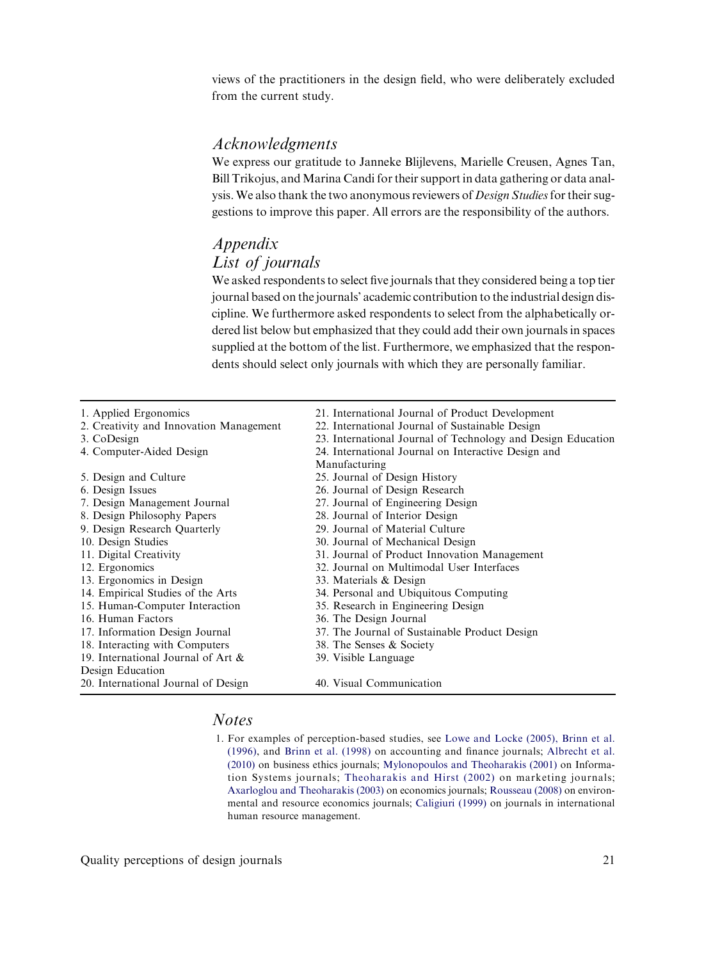<span id="page-17-0"></span>views of the practitioners in the design field, who were deliberately excluded from the current study.

#### Acknowledgments

We express our gratitude to Janneke Blijlevens, Marielle Creusen, Agnes Tan, Bill Trikojus, and Marina Candi for their support in data gathering or data analysis. We also thank the two anonymous reviewers of Design Studies for their suggestions to improve this paper. All errors are the responsibility of the authors.

#### Appendix List of journals

We asked respondents to select five journals that they considered being a top tier journal based on the journals' academic contribution to the industrial design discipline. We furthermore asked respondents to select from the alphabetically ordered list below but emphasized that they could add their own journals in spaces supplied at the bottom of the list. Furthermore, we emphasized that the respondents should select only journals with which they are personally familiar.

| 1. Applied Ergonomics<br>2. Creativity and Innovation Management | 21. International Journal of Product Development<br>22. International Journal of Sustainable Design |
|------------------------------------------------------------------|-----------------------------------------------------------------------------------------------------|
| 3. CoDesign                                                      | 23. International Journal of Technology and Design Education                                        |
| 4. Computer-Aided Design                                         | 24. International Journal on Interactive Design and                                                 |
|                                                                  | Manufacturing                                                                                       |
| 5. Design and Culture                                            | 25. Journal of Design History                                                                       |
| 6. Design Issues                                                 | 26. Journal of Design Research                                                                      |
| 7. Design Management Journal                                     | 27. Journal of Engineering Design                                                                   |
| 8. Design Philosophy Papers                                      | 28. Journal of Interior Design                                                                      |
| 9. Design Research Quarterly                                     | 29. Journal of Material Culture                                                                     |
| 10. Design Studies                                               | 30. Journal of Mechanical Design                                                                    |
| 11. Digital Creativity                                           | 31. Journal of Product Innovation Management                                                        |
| 12. Ergonomics                                                   | 32. Journal on Multimodal User Interfaces                                                           |
| 13. Ergonomics in Design                                         | 33. Materials & Design                                                                              |
| 14. Empirical Studies of the Arts                                | 34. Personal and Ubiquitous Computing                                                               |
| 15. Human-Computer Interaction                                   | 35. Research in Engineering Design                                                                  |
| 16. Human Factors                                                | 36. The Design Journal                                                                              |
| 17. Information Design Journal                                   | 37. The Journal of Sustainable Product Design                                                       |
| 18. Interacting with Computers                                   | 38. The Senses & Society                                                                            |
| 19. International Journal of Art &                               | 39. Visible Language                                                                                |
| Design Education                                                 |                                                                                                     |
| 20. International Journal of Design                              | 40. Visual Communication                                                                            |

#### Notes

1. For examples of perception-based studies, see [Lowe and Locke \(2005\), Brinn et al.](#page-19-0) [\(1996\),](#page-19-0) and [Brinn et al. \(1998\)](#page-18-0) on accounting and finance journals; [Albrecht et al.](#page-18-0) [\(2010\)](#page-18-0) on business ethics journals; [Mylonopoulos and Theoharakis \(2001\)](#page-19-0) on Information Systems journals; [Theoharakis and Hirst \(2002\)](#page-19-0) on marketing journals; [Axarloglou and Theoharakis \(2003\)](#page-18-0) on economics journals; [Rousseau \(2008\)](#page-19-0) on environmental and resource economics journals; [Caligiuri \(1999\)](#page-18-0) on journals in international human resource management.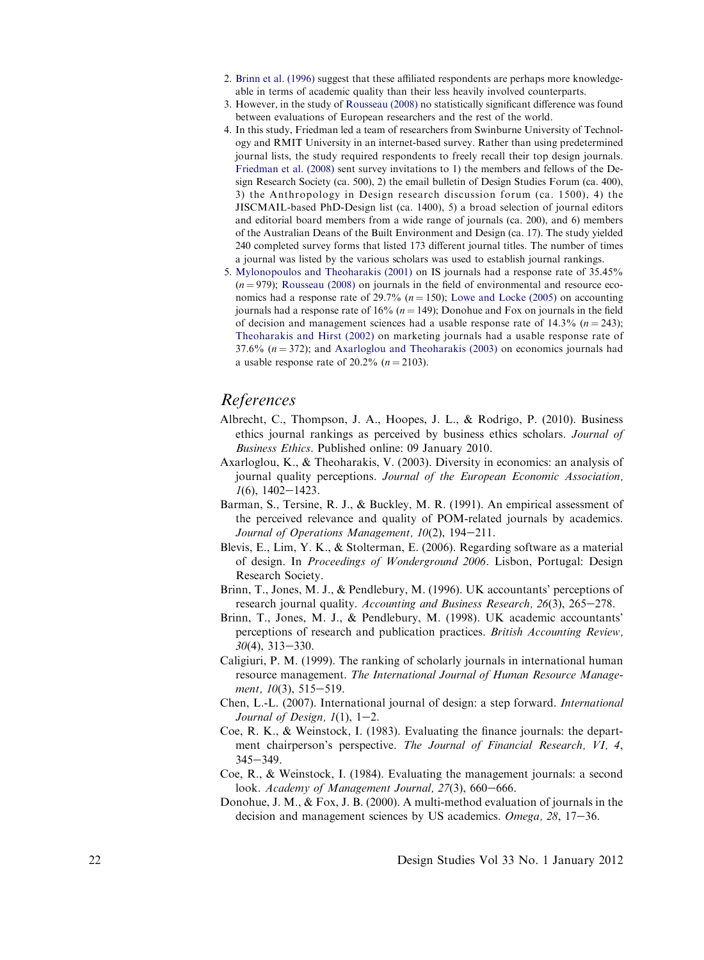- <span id="page-18-0"></span>2. Brinn et al. (1996) suggest that these affiliated respondents are perhaps more knowledgeable in terms of academic quality than their less heavily involved counterparts.
- 3. However, in the study of [Rousseau \(2008\)](#page-19-0) no statistically significant difference was found between evaluations of European researchers and the rest of the world.
- 4. In this study, Friedman led a team of researchers from Swinburne University of Technology and RMIT University in an internet-based survey. Rather than using predetermined journal lists, the study required respondents to freely recall their top design journals. [Friedman et al. \(2008\)](#page-19-0) sent survey invitations to 1) the members and fellows of the Design Research Society (ca. 500), 2) the email bulletin of Design Studies Forum (ca. 400), 3) the Anthropology in Design research discussion forum (ca. 1500), 4) the JISCMAIL-based PhD-Design list (ca. 1400), 5) a broad selection of journal editors and editorial board members from a wide range of journals (ca. 200), and 6) members of the Australian Deans of the Built Environment and Design (ca. 17). The study yielded 240 completed survey forms that listed 173 different journal titles. The number of times a journal was listed by the various scholars was used to establish journal rankings.
- 5. [Mylonopoulos and Theoharakis \(2001\)](#page-19-0) on IS journals had a response rate of 35.45%  $(n = 979)$ ; [Rousseau \(2008\)](#page-19-0) on journals in the field of environmental and resource economics had a response rate of 29.7%  $(n = 150)$ ; [Lowe and Locke \(2005\)](#page-19-0) on accounting journals had a response rate of 16% ( $n = 149$ ); Donohue and Fox on journals in the field of decision and management sciences had a usable response rate of 14.3% ( $n = 243$ ); [Theoharakis and Hirst \(2002\)](#page-19-0) on marketing journals had a usable response rate of 37.6%  $(n = 372)$ ; and Axarloglou and Theoharakis (2003) on economics journals had a usable response rate of 20.2% ( $n = 2103$ ).

#### References

- Albrecht, C., Thompson, J. A., Hoopes, J. L., & Rodrigo, P. (2010). Business ethics journal rankings as perceived by business ethics scholars. Journal of Business Ethics. Published online: 09 January 2010.
- Axarloglou, K., & Theoharakis, V. (2003). Diversity in economics: an analysis of journal quality perceptions. Journal of the European Economic Association,  $1(6)$ , 1402-1423.
- Barman, S., Tersine, R. J., & Buckley, M. R. (1991). An empirical assessment of the perceived relevance and quality of POM-related journals by academics. Journal of Operations Management,  $10(2)$ ,  $194-211$ .
- Blevis, E., Lim, Y. K., & Stolterman, E. (2006). Regarding software as a material of design. In Proceedings of Wonderground 2006. Lisbon, Portugal: Design Research Society.
- Brinn, T., Jones, M. J., & Pendlebury, M. (1996). UK accountants' perceptions of research journal quality. Accounting and Business Research,  $26(3)$ ,  $265-278$ .
- Brinn, T., Jones, M. J., & Pendlebury, M. (1998). UK academic accountants' perceptions of research and publication practices. British Accounting Review,  $30(4)$ ,  $313-330$ .
- Caligiuri, P. M. (1999). The ranking of scholarly journals in international human resource management. The International Journal of Human Resource Management,  $10(3)$ ,  $515-519$ .
- Chen, L.-L. (2007). International journal of design: a step forward. International Journal of Design,  $1(1)$ ,  $1-2$ .
- Coe, R. K., & Weinstock, I. (1983). Evaluating the finance journals: the department chairperson's perspective. The Journal of Financial Research, VI, 4,  $345 - 349$ .
- Coe, R., & Weinstock, I. (1984). Evaluating the management journals: a second look. Academy of Management Journal, 27(3), 660-666.
- Donohue, J. M., & Fox, J. B. (2000). A multi-method evaluation of journals in the decision and management sciences by US academics. Omega,  $28$ ,  $17-36$ .